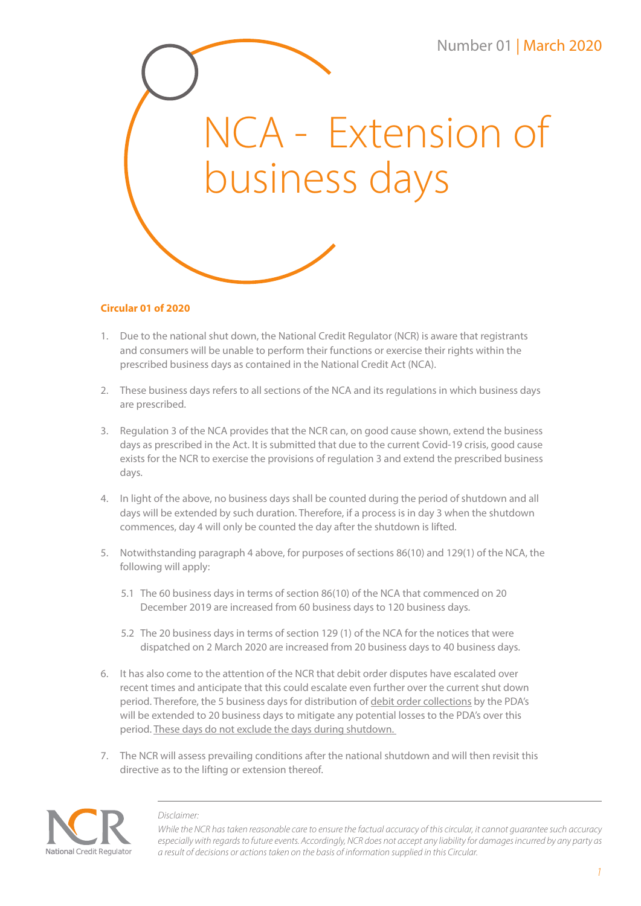

## **Circular 01 of 2020**

- 1. Due to the national shut down, the National Credit Regulator (NCR) is aware that registrants and consumers will be unable to perform their functions or exercise their rights within the prescribed business days as contained in the National Credit Act (NCA).
- 2. These business days refers to all sections of the NCA and its regulations in which business days are prescribed.
- 3. Regulation 3 of the NCA provides that the NCR can, on good cause shown, extend the business days as prescribed in the Act. It is submitted that due to the current Covid-19 crisis, good cause exists for the NCR to exercise the provisions of regulation 3 and extend the prescribed business days.
- 4. In light of the above, no business days shall be counted during the period of shutdown and all days will be extended by such duration. Therefore, if a process is in day 3 when the shutdown commences, day 4 will only be counted the day after the shutdown is lifted.
- 5. Notwithstanding paragraph 4 above, for purposes of sections 86(10) and 129(1) of the NCA, the following will apply:
	- 5.1 The 60 business days in terms of section 86(10) of the NCA that commenced on 20 December 2019 are increased from 60 business days to 120 business days.
	- 5.2 The 20 business days in terms of section 129 (1) of the NCA for the notices that were dispatched on 2 March 2020 are increased from 20 business days to 40 business days.
- 6. It has also come to the attention of the NCR that debit order disputes have escalated over recent times and anticipate that this could escalate even further over the current shut down period. Therefore, the 5 business days for distribution of debit order collections by the PDA's will be extended to 20 business days to mitigate any potential losses to the PDA's over this period. These days do not exclude the days during shutdown.
- 7. The NCR will assess prevailing conditions after the national shutdown and will then revisit this directive as to the lifting or extension thereof.



## *Disclaimer:*

*While the NCR has taken reasonable care to ensure the factual accuracy of this circular, it cannot guarantee such accuracy especially with regards to future events. Accordingly, NCR does not accept any liability for damages incurred by any party as a result of decisions or actions taken on the basis of information supplied in this Circular.*